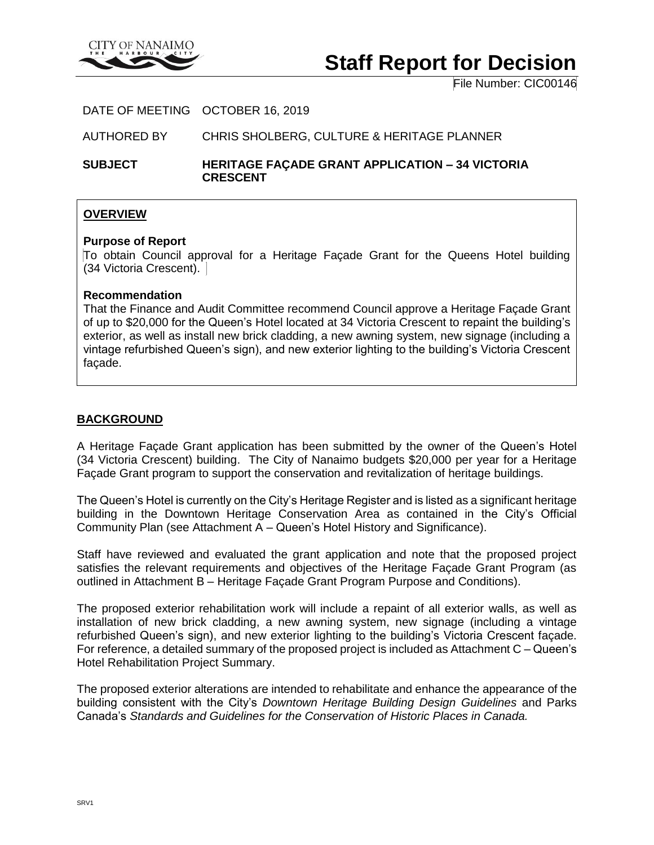

# **Staff Report for Decision**

File Number: CIC00146

#### DATE OF MEETING OCTOBER 16, 2019

AUTHORED BY CHRIS SHOLBERG, CULTURE & HERITAGE PLANNER

**SUBJECT HERITAGE FAÇADE GRANT APPLICATION – 34 VICTORIA CRESCENT**

## **OVERVIEW**

#### **Purpose of Report**

To obtain Council approval for a Heritage Façade Grant for the Queens Hotel building (34 Victoria Crescent).

#### **Recommendation**

That the Finance and Audit Committee recommend Council approve a Heritage Façade Grant of up to \$20,000 for the Queen's Hotel located at 34 Victoria Crescent to repaint the building's exterior, as well as install new brick cladding, a new awning system, new signage (including a vintage refurbished Queen's sign), and new exterior lighting to the building's Victoria Crescent façade.

## **BACKGROUND**

A Heritage Façade Grant application has been submitted by the owner of the Queen's Hotel (34 Victoria Crescent) building. The City of Nanaimo budgets \$20,000 per year for a Heritage Façade Grant program to support the conservation and revitalization of heritage buildings.

The Queen's Hotel is currently on the City's Heritage Register and is listed as a significant heritage building in the Downtown Heritage Conservation Area as contained in the City's Official Community Plan (see Attachment A – Queen's Hotel History and Significance).

Staff have reviewed and evaluated the grant application and note that the proposed project satisfies the relevant requirements and objectives of the Heritage Façade Grant Program (as outlined in Attachment B – Heritage Façade Grant Program Purpose and Conditions).

The proposed exterior rehabilitation work will include a repaint of all exterior walls, as well as installation of new brick cladding, a new awning system, new signage (including a vintage refurbished Queen's sign), and new exterior lighting to the building's Victoria Crescent façade. For reference, a detailed summary of the proposed project is included as Attachment C – Queen's Hotel Rehabilitation Project Summary.

The proposed exterior alterations are intended to rehabilitate and enhance the appearance of the building consistent with the City's *Downtown Heritage Building Design Guidelines* and Parks Canada's *Standards and Guidelines for the Conservation of Historic Places in Canada.*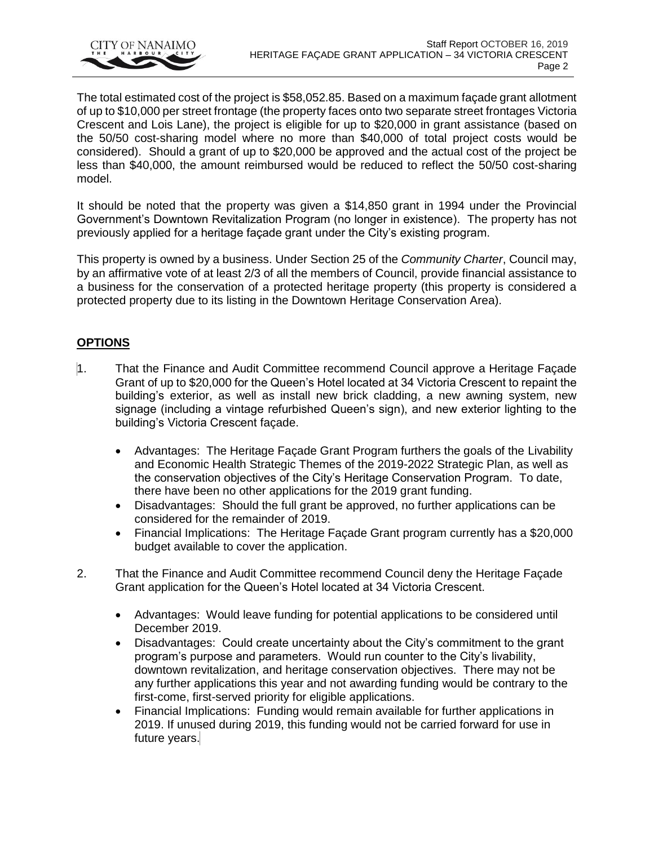

The total estimated cost of the project is \$58,052.85. Based on a maximum façade grant allotment of up to \$10,000 per street frontage (the property faces onto two separate street frontages Victoria Crescent and Lois Lane), the project is eligible for up to \$20,000 in grant assistance (based on the 50/50 cost-sharing model where no more than \$40,000 of total project costs would be considered). Should a grant of up to \$20,000 be approved and the actual cost of the project be less than \$40,000, the amount reimbursed would be reduced to reflect the 50/50 cost-sharing model.

It should be noted that the property was given a \$14,850 grant in 1994 under the Provincial Government's Downtown Revitalization Program (no longer in existence). The property has not previously applied for a heritage façade grant under the City's existing program.

This property is owned by a business. Under Section 25 of the *Community Charter*, Council may, by an affirmative vote of at least 2/3 of all the members of Council, provide financial assistance to a business for the conservation of a protected heritage property (this property is considered a protected property due to its listing in the Downtown Heritage Conservation Area).

# **OPTIONS**

- 1. That the Finance and Audit Committee recommend Council approve a Heritage Façade Grant of up to \$20,000 for the Queen's Hotel located at 34 Victoria Crescent to repaint the building's exterior, as well as install new brick cladding, a new awning system, new signage (including a vintage refurbished Queen's sign), and new exterior lighting to the building's Victoria Crescent façade.
	- Advantages: The Heritage Façade Grant Program furthers the goals of the Livability and Economic Health Strategic Themes of the 2019-2022 Strategic Plan, as well as the conservation objectives of the City's Heritage Conservation Program. To date, there have been no other applications for the 2019 grant funding.
	- Disadvantages: Should the full grant be approved, no further applications can be considered for the remainder of 2019.
	- Financial Implications: The Heritage Façade Grant program currently has a \$20,000 budget available to cover the application.
- 2. That the Finance and Audit Committee recommend Council deny the Heritage Façade Grant application for the Queen's Hotel located at 34 Victoria Crescent.
	- Advantages: Would leave funding for potential applications to be considered until December 2019.
	- Disadvantages: Could create uncertainty about the City's commitment to the grant program's purpose and parameters. Would run counter to the City's livability, downtown revitalization, and heritage conservation objectives. There may not be any further applications this year and not awarding funding would be contrary to the first-come, first-served priority for eligible applications.
	- Financial Implications: Funding would remain available for further applications in 2019. If unused during 2019, this funding would not be carried forward for use in future years.